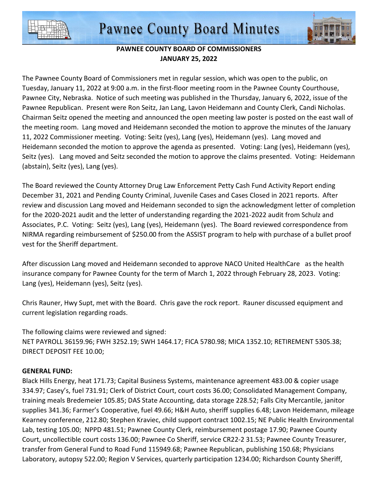



## **PAWNEE COUNTY BOARD OF COMMISSIONERS JANUARY 25, 2022**

The Pawnee County Board of Commissioners met in regular session, which was open to the public, on Tuesday, January 11, 2022 at 9:00 a.m. in the first-floor meeting room in the Pawnee County Courthouse, Pawnee City, Nebraska. Notice of such meeting was published in the Thursday, January 6, 2022, issue of the Pawnee Republican. Present were Ron Seitz, Jan Lang, Lavon Heidemann and County Clerk, Candi Nicholas. Chairman Seitz opened the meeting and announced the open meeting law poster is posted on the east wall of the meeting room. Lang moved and Heidemann seconded the motion to approve the minutes of the January 11, 2022 Commissioner meeting. Voting: Seitz (yes), Lang (yes), Heidemann (yes). Lang moved and Heidemann seconded the motion to approve the agenda as presented. Voting: Lang (yes), Heidemann (yes), Seitz (yes). Lang moved and Seitz seconded the motion to approve the claims presented. Voting: Heidemann (abstain), Seitz (yes), Lang (yes).

The Board reviewed the County Attorney Drug Law Enforcement Petty Cash Fund Activity Report ending December 31, 2021 and Pending County Criminal, Juvenile Cases and Cases Closed in 2021 reports. After review and discussion Lang moved and Heidemann seconded to sign the acknowledgment letter of completion for the 2020-2021 audit and the letter of understanding regarding the 2021-2022 audit from Schulz and Associates, P.C. Voting: Seitz (yes), Lang (yes), Heidemann (yes). The Board reviewed correspondence from NIRMA regarding reimbursement of \$250.00 from the ASSIST program to help with purchase of a bullet proof vest for the Sheriff department.

After discussion Lang moved and Heidemann seconded to approve NACO United HealthCare as the health insurance company for Pawnee County for the term of March 1, 2022 through February 28, 2023. Voting: Lang (yes), Heidemann (yes), Seitz (yes).

Chris Rauner, Hwy Supt, met with the Board. Chris gave the rock report. Rauner discussed equipment and current legislation regarding roads.

The following claims were reviewed and signed: NET PAYROLL 36159.96; FWH 3252.19; SWH 1464.17; FICA 5780.98; MICA 1352.10; RETIREMENT 5305.38; DIRECT DEPOSIT FEE 10.00;

## **GENERAL FUND:**

Black Hills Energy, heat 171.73; Capital Business Systems, maintenance agreement 483.00 & copier usage 334.97; Casey's, fuel 731.91; Clerk of District Court, court costs 36.00; Consolidated Management Company, training meals Bredemeier 105.85; DAS State Accounting, data storage 228.52; Falls City Mercantile, janitor supplies 341.36; Farmer's Cooperative, fuel 49.66; H&H Auto, sheriff supplies 6.48; Lavon Heidemann, mileage Kearney conference, 212.80; Stephen Kraviec, child support contract 1002.15; NE Public Health Environmental Lab, testing 105.00; NPPD 481.51; Pawnee County Clerk, reimbursement postage 17.90; Pawnee County Court, uncollectible court costs 136.00; Pawnee Co Sheriff, service CR22-2 31.53; Pawnee County Treasurer, transfer from General Fund to Road Fund 115949.68; Pawnee Republican, publishing 150.68; Physicians Laboratory, autopsy 522.00; Region V Services, quarterly participation 1234.00; Richardson County Sheriff,